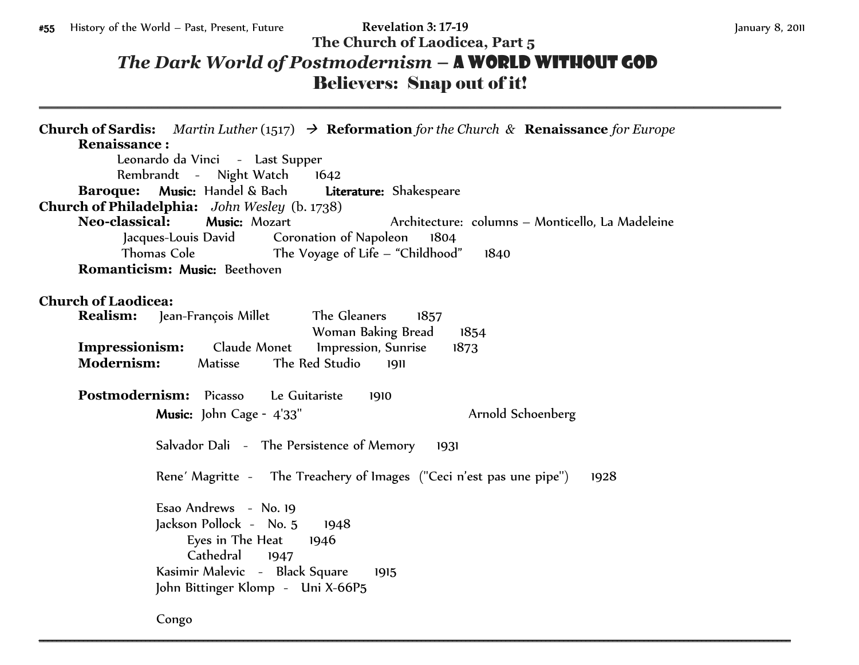\_\_\_\_\_\_\_\_\_\_\_\_\_\_\_\_\_\_\_\_\_\_\_\_\_\_\_\_\_\_\_\_\_\_\_\_\_\_\_\_\_\_\_\_\_\_\_\_\_\_\_\_\_\_\_\_\_\_\_\_\_\_\_\_\_\_\_\_\_\_\_\_\_\_\_\_\_\_\_\_\_\_\_\_\_\_\_\_\_\_\_\_\_\_\_\_\_\_\_\_\_\_\_\_\_\_\_\_\_\_\_\_\_\_\_\_\_\_\_

## **The Church of Laodicea, Part 5** *The Dark World of Postmodernism* **–** A World without God Believers: Snap out of it!

**Church of Sardis:** *Martin Luther* (1517)  $\rightarrow$  **Reformation** for the Church & **Renaissance** for Europe **Renaissance :** Leonardo da Vinci - Last Supper Rembrandt - Night Watch 1642 **Baroque:** Music: Handel & Bach Literature: Shakespeare **Church of Philadelphia:** *John Wesley* (b. 1738) **Neo-classical:** Music: Mozart Architecture: columns – Monticello, La Madeleine Jacques-Louis David Coronation of Napoleon 1804 Thomas Cole The Voyage of Life – "Childhood" 1840 **Romanticism:** Music: Beethoven **Church of Laodicea: Realism:** Jean-François Millet The Gleaners 1857 Woman Baking Bread 1854 **Impressionism:**Claude Monet Impression, Sunrise 1873 **Modernism:** Matisse The Red Studio 1911 **Postmodernism:** Picasso Le Guitariste 1910 Music: John Cage - 4'33" Arnold Schoenberg Salvador Dali - The Persistence of Memory 1931 Rene' Magritte - The Treachery of Images ("Ceci n'est pas une pipe") 1928 Esao Andrews - No. 19 Jackson Pollock - No. 5 1948 Eyes in The Heat 1946 Cathedral 1947 Kasimir Malevic - Black Square 1915 John Bittinger Klomp - Uni X-66P5

Congo \_\_\_\_\_\_\_\_\_\_\_\_\_\_\_\_\_\_\_\_\_\_\_\_\_\_\_\_\_\_\_\_\_\_\_\_\_\_\_\_\_\_\_\_\_\_\_\_\_\_\_\_\_\_\_\_\_\_\_\_\_\_\_\_\_\_\_\_\_\_\_\_\_\_\_\_\_\_\_\_\_\_\_\_\_\_\_\_\_\_\_\_\_\_\_\_\_\_\_\_\_\_\_\_\_\_\_\_\_\_\_\_\_\_\_\_\_\_\_\_\_\_\_\_\_\_\_\_\_\_\_\_\_\_\_\_\_\_\_\_\_\_\_\_\_\_\_\_\_\_\_\_\_\_\_\_\_\_\_\_\_\_\_\_\_\_\_\_\_